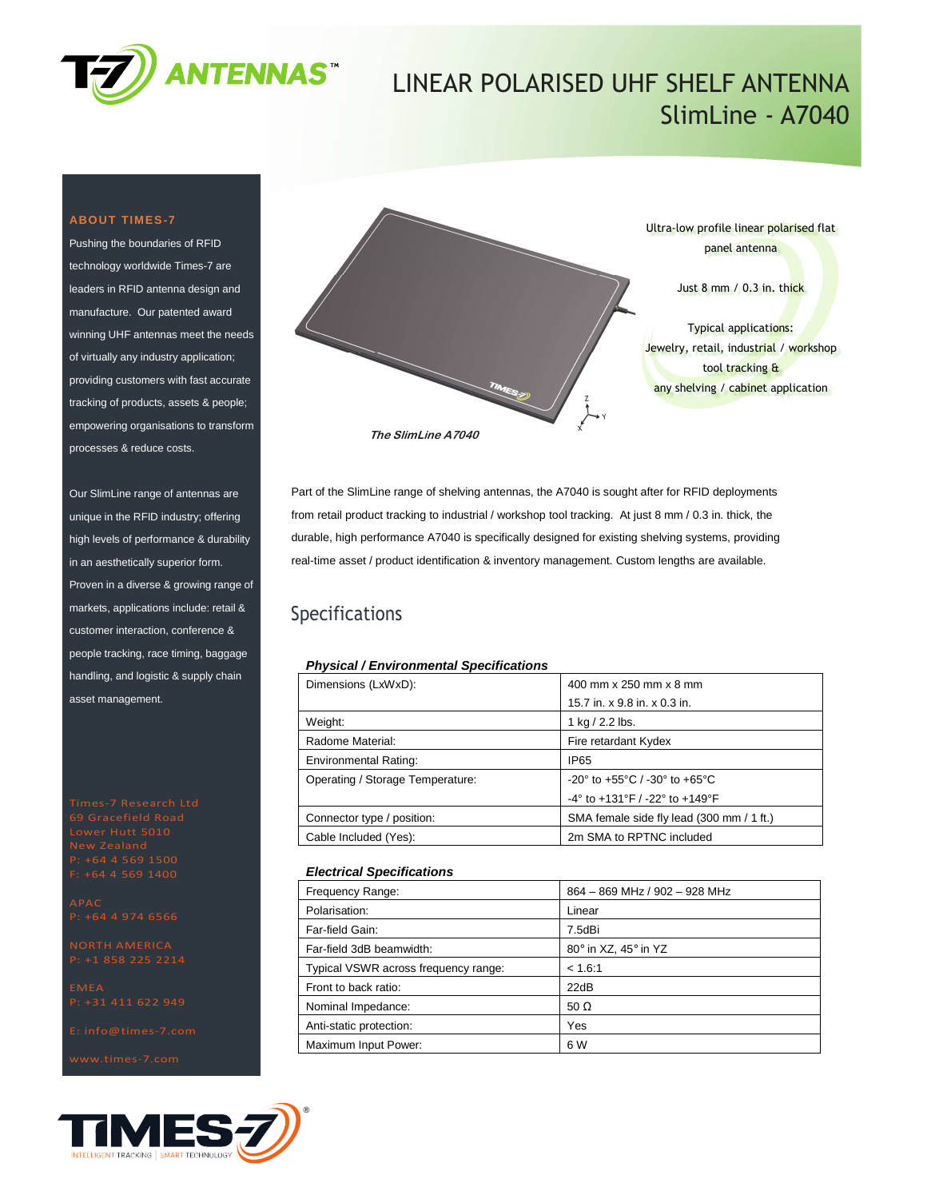

## LINEAR POLARISED UHF SHELF ANTENNA SlimLine - A7040

#### **ABOUT TIMES-7**

Pushing the boundaries of RFID technology worldwide Times-7 are leaders in RFID antenna design and manufacture. Our patented award winning UHF antennas meet the needs of virtually any industry application; providing customers with fast accurate tracking of products, assets & people; empowering organisations to transform processes & reduce costs.

Our SlimLine range of antennas are unique in the RFID industry; offering high levels of performance & durability in an aesthetically superior form. Proven in a diverse & growing range of markets, applications include: retail & customer interaction, conference & people tracking, race timing, baggage handling, and logistic & supply chain asset management.





Part of the SlimLine range of shelving antennas, the A7040 is sought after for RFID deployments from retail product tracking to industrial / workshop tool tracking. At just 8 mm / 0.3 in. thick, the durable, high performance A7040 is specifically designed for existing shelving systems, providing real-time asset / product identification & inventory management. Custom lengths are available.

## Specifications

#### **Physical / Environmental Specifications**

| Dimensions (LxWxD):              | 400 mm x 250 mm x 8 mm                                                  |
|----------------------------------|-------------------------------------------------------------------------|
|                                  | 15.7 in. x 9.8 in. x 0.3 in.                                            |
| Weight:                          | 1 kg / 2.2 lbs.                                                         |
| Radome Material:                 | Fire retardant Kydex                                                    |
| <b>Environmental Rating:</b>     | IP65                                                                    |
| Operating / Storage Temperature: | -20 $^{\circ}$ to +55 $^{\circ}$ C / -30 $^{\circ}$ to +65 $^{\circ}$ C |
|                                  | $-4^{\circ}$ to $+131^{\circ}$ F / $-22^{\circ}$ to $+149^{\circ}$ F    |
| Connector type / position:       | SMA female side fly lead (300 mm / 1 ft.)                               |
| Cable Included (Yes):            | 2m SMA to RPTNC included                                                |

#### **Electrical Specifications**

| Frequency Range:                     | 864 - 869 MHz / 902 - 928 MHz      |
|--------------------------------------|------------------------------------|
| Polarisation:                        | Linear                             |
| Far-field Gain:                      | 7.5dBi                             |
| Far-field 3dB beamwidth:             | $80^\circ$ in XZ, $45^\circ$ in YZ |
| Typical VSWR across frequency range: | < 1.6:1                            |
| Front to back ratio:                 | 22dB                               |
| Nominal Impedance:                   | 50 $\Omega$                        |
| Anti-static protection:              | Yes                                |
| Maximum Input Power:                 | 6 W                                |